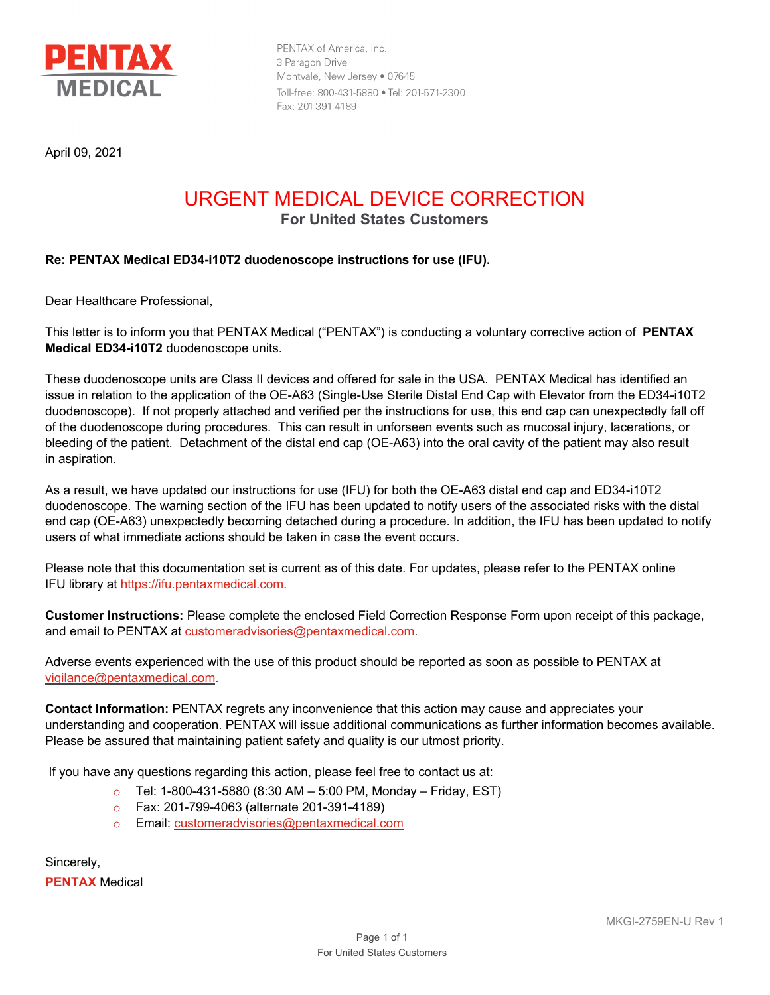

PENTAX of America, Inc. 3 Paragon Drive Montvale, New Jersey . 07645 Toll-free: 800-431-5880 . Tel: 201-571-2300 Fax: 201-391-4189

April 09, 2021

## URGENT MEDICAL DEVICE CORRECTION **For United States Customers**

### **Re: PENTAX Medical ED34-i10T2 duodenoscope instructions for use (IFU).**

Dear Healthcare Professional,

This letter is to inform you that PENTAX Medical ("PENTAX") is conducting a voluntary corrective action of **PENTAX Medical ED34-i10T2** duodenoscope units.

These duodenoscope units are Class II devices and offered for sale in the USA. PENTAX Medical has identified an issue in relation to the application of the OE-A63 (Single-Use Sterile Distal End Cap with Elevator from the ED34-i10T2 duodenoscope). If not properly attached and verified per the instructions for use, this end cap can unexpectedly fall off of the duodenoscope during procedures. This can result in unforseen events such as mucosal injury, lacerations, or bleeding of the patient. Detachment of the distal end cap (OE-A63) into the oral cavity of the patient may also result in aspiration.

As a result, we have updated our instructions for use (IFU) for both the OE-A63 distal end cap and ED34-i10T2 duodenoscope. The warning section of the IFU has been updated to notify users of the associated risks with the distal end cap (OE-A63) unexpectedly becoming detached during a procedure. In addition, the IFU has been updated to notify users of what immediate actions should be taken in case the event occurs.

Please note that this documentation set is current as of this date. For updates, please refer to the PENTAX online IFU library at https://ifu.pentaxmedical.com.

**Customer Instructions:** Please complete the enclosed Field Correction Response Form upon receipt of this package, and email to PENTAX at customeradvisories@pentaxmedical.com.

Adverse events experienced with the use of this product should be reported as soon as possible to PENTAX at vigilance@pentaxmedical.com.

**Contact Information:** PENTAX regrets any inconvenience that this action may cause and appreciates your understanding and cooperation. PENTAX will issue additional communications as further information becomes available. Please be assured that maintaining patient safety and quality is our utmost priority.

If you have any questions regarding this action, please feel free to contact us at:

- $\circ$  Tel: 1-800-431-5880 (8:30 AM 5:00 PM, Monday Friday, EST)
- o Fax: 201-799-4063 (alternate 201-391-4189)
- o Email: customeradvisories@pentaxmedical.com

Sincerely, **PENTAX** Medical